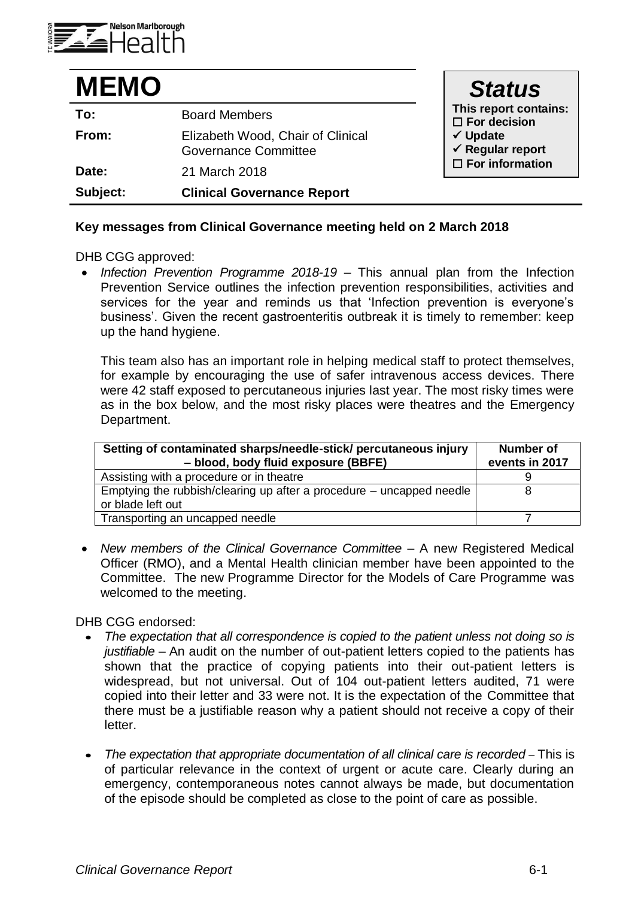

| <b>MEMO</b> |                                                                  | <b>Status</b>                                      |
|-------------|------------------------------------------------------------------|----------------------------------------------------|
| To:         | <b>Board Members</b>                                             | This report contains:<br>$\square$ For decision    |
| From:       | Elizabeth Wood, Chair of Clinical<br><b>Governance Committee</b> | $\checkmark$ Update<br>$\checkmark$ Regular report |
| Date:       | 21 March 2018                                                    | $\Box$ For information                             |
| Subject:    | <b>Clinical Governance Report</b>                                |                                                    |

## **Key messages from Clinical Governance meeting held on 2 March 2018**

DHB CGG approved:

 *Infection Prevention Programme 2018-19 –* This annual plan from the Infection Prevention Service outlines the infection prevention responsibilities, activities and services for the year and reminds us that 'Infection prevention is everyone's business'. Given the recent gastroenteritis outbreak it is timely to remember: keep up the hand hygiene.

This team also has an important role in helping medical staff to protect themselves, for example by encouraging the use of safer intravenous access devices. There were 42 staff exposed to percutaneous injuries last year. The most risky times were as in the box below, and the most risky places were theatres and the Emergency Department.

| Setting of contaminated sharps/needle-stick/ percutaneous injury<br>- blood, body fluid exposure (BBFE) | <b>Number of</b><br>events in 2017 |
|---------------------------------------------------------------------------------------------------------|------------------------------------|
| Assisting with a procedure or in theatre                                                                |                                    |
| Emptying the rubbish/clearing up after a procedure $-$ uncapped needle<br>or blade left out             |                                    |
| Transporting an uncapped needle                                                                         |                                    |

 *New members of the Clinical Governance Committee –* A new Registered Medical Officer (RMO), and a Mental Health clinician member have been appointed to the Committee. The new Programme Director for the Models of Care Programme was welcomed to the meeting.

DHB CGG endorsed:

- *The expectation that all correspondence is copied to the patient unless not doing so is justifiable –* An audit on the number of out-patient letters copied to the patients has shown that the practice of copying patients into their out-patient letters is widespread, but not universal. Out of 104 out-patient letters audited, 71 were copied into their letter and 33 were not. It is the expectation of the Committee that there must be a justifiable reason why a patient should not receive a copy of their letter.
- The expectation that appropriate documentation of all clinical care is recorded This is of particular relevance in the context of urgent or acute care. Clearly during an emergency, contemporaneous notes cannot always be made, but documentation of the episode should be completed as close to the point of care as possible.